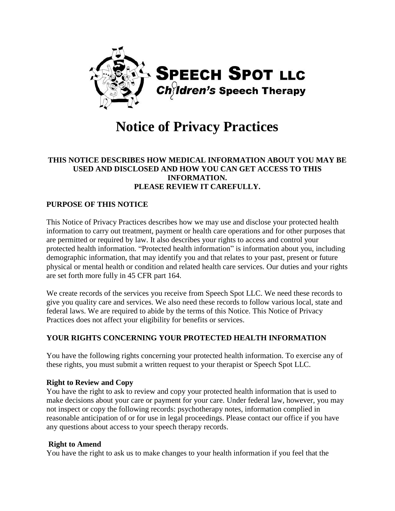

# **Notice of Privacy Practices**

#### **THIS NOTICE DESCRIBES HOW MEDICAL INFORMATION ABOUT YOU MAY BE USED AND DISCLOSED AND HOW YOU CAN GET ACCESS TO THIS INFORMATION. PLEASE REVIEW IT CAREFULLY.**

## **PURPOSE OF THIS NOTICE**

This Notice of Privacy Practices describes how we may use and disclose your protected health information to carry out treatment, payment or health care operations and for other purposes that are permitted or required by law. It also describes your rights to access and control your protected health information. "Protected health information" is information about you, including demographic information, that may identify you and that relates to your past, present or future physical or mental health or condition and related health care services. Our duties and your rights are set forth more fully in 45 CFR part 164.

We create records of the services you receive from Speech Spot LLC. We need these records to give you quality care and services. We also need these records to follow various local, state and federal laws. We are required to abide by the terms of this Notice. This Notice of Privacy Practices does not affect your eligibility for benefits or services.

#### **YOUR RIGHTS CONCERNING YOUR PROTECTED HEALTH INFORMATION**

You have the following rights concerning your protected health information. To exercise any of these rights, you must submit a written request to your therapist or Speech Spot LLC.

#### **Right to Review and Copy**

You have the right to ask to review and copy your protected health information that is used to make decisions about your care or payment for your care. Under federal law, however, you may not inspect or copy the following records: psychotherapy notes, information complied in reasonable anticipation of or for use in legal proceedings. Please contact our office if you have any questions about access to your speech therapy records.

#### **Right to Amend**

You have the right to ask us to make changes to your health information if you feel that the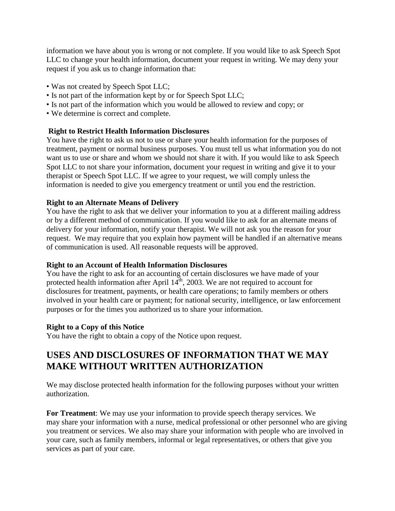information we have about you is wrong or not complete. If you would like to ask Speech Spot LLC to change your health information, document your request in writing. We may deny your request if you ask us to change information that:

- Was not created by Speech Spot LLC;
- Is not part of the information kept by or for Speech Spot LLC;
- Is not part of the information which you would be allowed to review and copy; or
- We determine is correct and complete.

#### **Right to Restrict Health Information Disclosures**

You have the right to ask us not to use or share your health information for the purposes of treatment, payment or normal business purposes. You must tell us what information you do not want us to use or share and whom we should not share it with. If you would like to ask Speech Spot LLC to not share your information, document your request in writing and give it to your therapist or Speech Spot LLC. If we agree to your request, we will comply unless the information is needed to give you emergency treatment or until you end the restriction.

#### **Right to an Alternate Means of Delivery**

You have the right to ask that we deliver your information to you at a different mailing address or by a different method of communication. If you would like to ask for an alternate means of delivery for your information, notify your therapist. We will not ask you the reason for your request. We may require that you explain how payment will be handled if an alternative means of communication is used. All reasonable requests will be approved.

#### **Right to an Account of Health Information Disclosures**

You have the right to ask for an accounting of certain disclosures we have made of your protected health information after April  $14<sup>th</sup>$ , 2003. We are not required to account for disclosures for treatment, payments, or health care operations; to family members or others involved in your health care or payment; for national security, intelligence, or law enforcement purposes or for the times you authorized us to share your information.

#### **Right to a Copy of this Notice**

You have the right to obtain a copy of the Notice upon request.

# **USES AND DISCLOSURES OF INFORMATION THAT WE MAY MAKE WITHOUT WRITTEN AUTHORIZATION**

We may disclose protected health information for the following purposes without your written authorization.

**For Treatment**: We may use your information to provide speech therapy services. We may share your information with a nurse, medical professional or other personnel who are giving you treatment or services. We also may share your information with people who are involved in your care, such as family members, informal or legal representatives, or others that give you services as part of your care.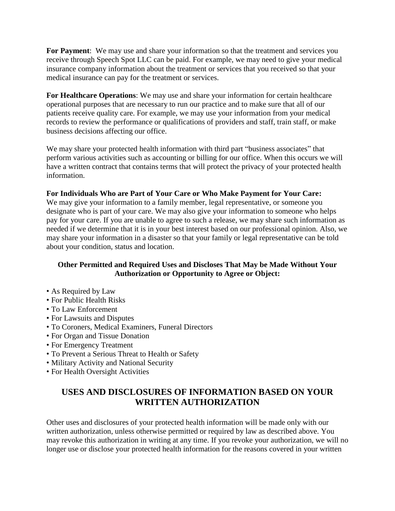**For Payment**: We may use and share your information so that the treatment and services you receive through Speech Spot LLC can be paid. For example, we may need to give your medical insurance company information about the treatment or services that you received so that your medical insurance can pay for the treatment or services.

**For Healthcare Operations**: We may use and share your information for certain healthcare operational purposes that are necessary to run our practice and to make sure that all of our patients receive quality care. For example, we may use your information from your medical records to review the performance or qualifications of providers and staff, train staff, or make business decisions affecting our office.

We may share your protected health information with third part "business associates" that perform various activities such as accounting or billing for our office. When this occurs we will have a written contract that contains terms that will protect the privacy of your protected health information.

## **For Individuals Who are Part of Your Care or Who Make Payment for Your Care:**

We may give your information to a family member, legal representative, or someone you designate who is part of your care. We may also give your information to someone who helps pay for your care. If you are unable to agree to such a release, we may share such information as needed if we determine that it is in your best interest based on our professional opinion. Also, we may share your information in a disaster so that your family or legal representative can be told about your condition, status and location.

# **Other Permitted and Required Uses and Discloses That May be Made Without Your Authorization or Opportunity to Agree or Object:**

- As Required by Law
- For Public Health Risks
- To Law Enforcement
- For Lawsuits and Disputes
- To Coroners, Medical Examiners, Funeral Directors
- For Organ and Tissue Donation
- For Emergency Treatment
- To Prevent a Serious Threat to Health or Safety
- Military Activity and National Security
- For Health Oversight Activities

# **USES AND DISCLOSURES OF INFORMATION BASED ON YOUR WRITTEN AUTHORIZATION**

Other uses and disclosures of your protected health information will be made only with our written authorization, unless otherwise permitted or required by law as described above. You may revoke this authorization in writing at any time. If you revoke your authorization, we will no longer use or disclose your protected health information for the reasons covered in your written